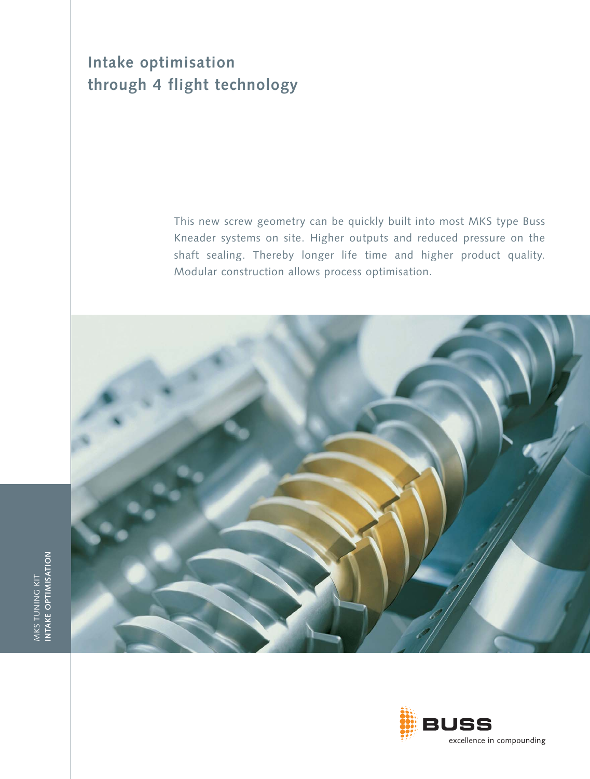## **Intake optimisation through 4 flight technology**

This new screw geometry can be quickly built into most MKS type Buss Kneader systems on site. Higher outputs and reduced pressure on the shaft sealing. Thereby longer life time and higher product quality. Modular construction allows process optimisation.